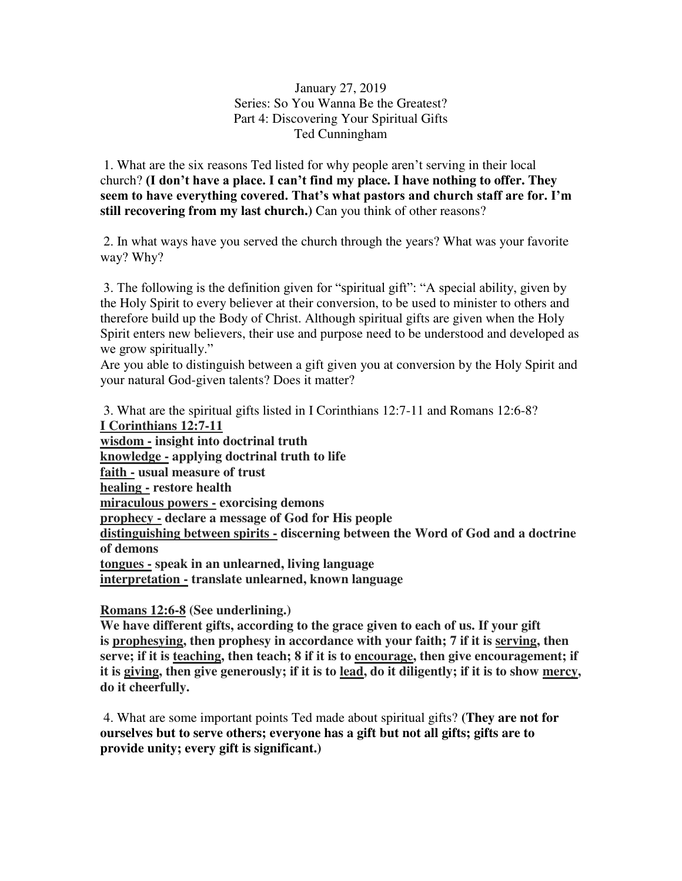## January 27, 2019 Series: So You Wanna Be the Greatest? Part 4: Discovering Your Spiritual Gifts Ted Cunningham

 1. What are the six reasons Ted listed for why people aren't serving in their local church? **(I don't have a place. I can't find my place. I have nothing to offer. They seem to have everything covered. That's what pastors and church staff are for. I'm still recovering from my last church.)** Can you think of other reasons?

 2. In what ways have you served the church through the years? What was your favorite way? Why?

3. The following is the definition given for "spiritual gift": "A special ability, given by the Holy Spirit to every believer at their conversion, to be used to minister to others and therefore build up the Body of Christ. Although spiritual gifts are given when the Holy Spirit enters new believers, their use and purpose need to be understood and developed as we grow spiritually."

Are you able to distinguish between a gift given you at conversion by the Holy Spirit and your natural God-given talents? Does it matter?

 3. What are the spiritual gifts listed in I Corinthians 12:7-11 and Romans 12:6-8? **I Corinthians 12:7-11 wisdom - insight into doctrinal truth knowledge - applying doctrinal truth to life faith - usual measure of trust healing - restore health miraculous powers - exorcising demons prophecy - declare a message of God for His people distinguishing between spirits - discerning between the Word of God and a doctrine of demons tongues - speak in an unlearned, living language interpretation - translate unlearned, known language** 

## **Romans 12:6-8 (See underlining.)**

**We have different gifts, according to the grace given to each of us. If your gift is prophesying, then prophesy in accordance with your faith; 7 if it is serving, then serve; if it is teaching, then teach; 8 if it is to encourage, then give encouragement; if it is giving, then give generously; if it is to lead, do it diligently; if it is to show mercy, do it cheerfully.**

 4. What are some important points Ted made about spiritual gifts? **(They are not for ourselves but to serve others; everyone has a gift but not all gifts; gifts are to provide unity; every gift is significant.)**